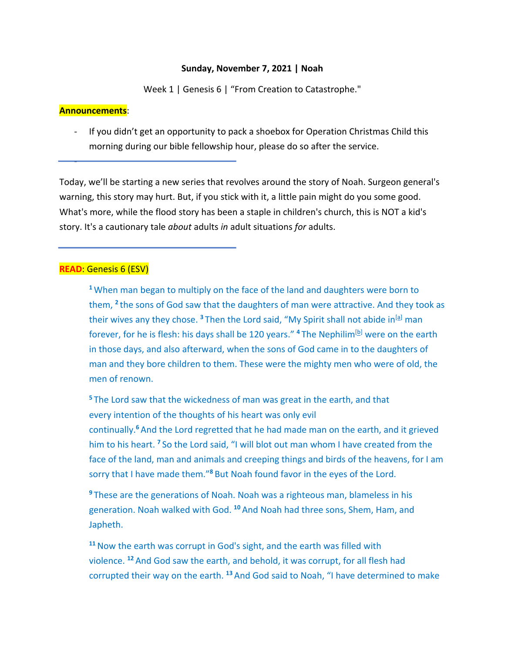#### **Sunday, November 7, 2021 | Noah**

Week 1 | Genesis 6 | "From Creation to Catastrophe."

#### **Announcements**:

-

If you didn't get an opportunity to pack a shoebox for Operation Christmas Child this morning during our bible fellowship hour, please do so after the service.

Today, we'll be starting a new series that revolves around the story of Noah. Surgeon general's warning, this story may hurt. But, if you stick with it, a little pain might do you some good. What's more, while the flood story has been a staple in children's church, this is NOT a kid's story. It's a cautionary tale *about* adults *in* adult situations *for* adults.

## **READ**: Genesis 6 (ESV)

**<sup>1</sup>** When man began to multiply on the face of the land and daughters were born to them, **<sup>2</sup>** the sons of God saw that the daughters of man were attractive. And they took as their wives any they chose. <sup>3</sup> Then the Lord said, "My Spirit shall not abide in<sup>[a]</sup> man forever, for he is flesh: his days shall be 120 years." <sup>4</sup> The Nephilim<sup>[b]</sup> were on the earth in those days, and also afterward, when the sons of God came in to the daughters of man and they bore children to them. These were the mighty men who were of old, the men of renown.

**<sup>5</sup>** The Lord saw that the wickedness of man was great in the earth, and that every intention of the thoughts of his heart was only evil continually.**<sup>6</sup>** And the Lord regretted that he had made man on the earth, and it grieved him to his heart. **<sup>7</sup>** So the Lord said, "I will blot out man whom I have created from the face of the land, man and animals and creeping things and birds of the heavens, for I am sorry that I have made them."**<sup>8</sup>** But Noah found favor in the eyes of the Lord.

**<sup>9</sup>** These are the generations of Noah. Noah was a righteous man, blameless in his generation. Noah walked with God. **<sup>10</sup>** And Noah had three sons, Shem, Ham, and Japheth.

**<sup>11</sup>**Now the earth was corrupt in God's sight, and the earth was filled with violence. **<sup>12</sup>** And God saw the earth, and behold, it was corrupt, for all flesh had corrupted their way on the earth. **<sup>13</sup>** And God said to Noah, "I have determined to make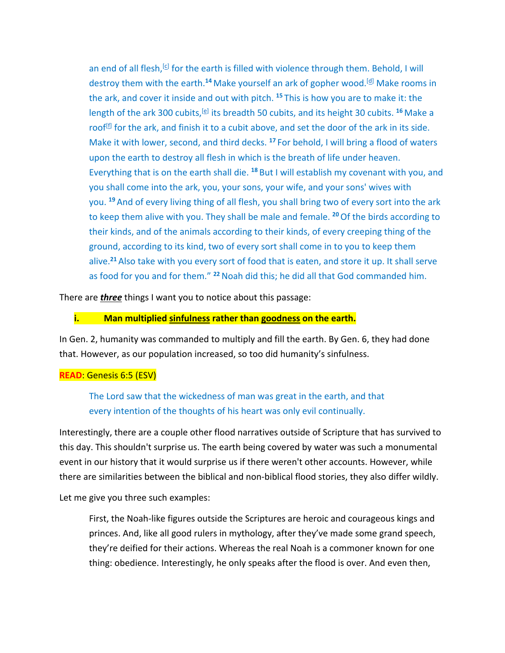an end of all flesh,  $[G]$  for the earth is filled with violence through them. Behold, I will destroy them with the earth.<sup>14</sup> Make yourself an ark of gopher wood.<sup>[d]</sup> Make rooms in the ark, and cover it inside and out with pitch. **<sup>15</sup>** This is how you are to make it: the length of the ark 300 cubits, <sup>[e]</sup> its breadth 50 cubits, and its height 30 cubits. <sup>16</sup> Make a roof $[<sup>f</sup>]$  for the ark, and finish it to a cubit above, and set the door of the ark in its side. Make it with lower, second, and third decks. **<sup>17</sup>** For behold, I will bring a flood of waters upon the earth to destroy all flesh in which is the breath of life under heaven. Everything that is on the earth shall die. **<sup>18</sup>** But I will establish my covenant with you, and you shall come into the ark, you, your sons, your wife, and your sons' wives with you. **<sup>19</sup>** And of every living thing of all flesh, you shall bring two of every sort into the ark to keep them alive with you. They shall be male and female. **<sup>20</sup>**Of the birds according to their kinds, and of the animals according to their kinds, of every creeping thing of the ground, according to its kind, two of every sort shall come in to you to keep them alive.**<sup>21</sup>** Also take with you every sort of food that is eaten, and store it up. It shall serve as food for you and for them." **<sup>22</sup>**Noah did this; he did all that God commanded him.

There are *three* things I want you to notice about this passage:

## **i. Man multiplied sinfulness rather than goodness on the earth.**

In Gen. 2, humanity was commanded to multiply and fill the earth. By Gen. 6, they had done that. However, as our population increased, so too did humanity's sinfulness.

## **READ**: Genesis 6:5 (ESV)

The Lord saw that the wickedness of man was great in the earth, and that every intention of the thoughts of his heart was only evil continually.

Interestingly, there are a couple other flood narratives outside of Scripture that has survived to this day. This shouldn't surprise us. The earth being covered by water was such a monumental event in our history that it would surprise us if there weren't other accounts. However, while there are similarities between the biblical and non-biblical flood stories, they also differ wildly.

Let me give you three such examples:

First, the Noah-like figures outside the Scriptures are heroic and courageous kings and princes. And, like all good rulers in mythology, after they've made some grand speech, they're deified for their actions. Whereas the real Noah is a commoner known for one thing: obedience. Interestingly, he only speaks after the flood is over. And even then,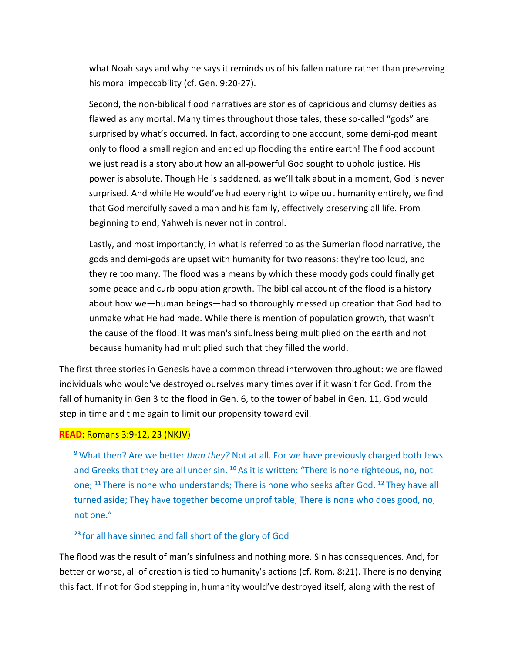what Noah says and why he says it reminds us of his fallen nature rather than preserving his moral impeccability (cf. Gen. 9:20-27).

Second, the non-biblical flood narratives are stories of capricious and clumsy deities as flawed as any mortal. Many times throughout those tales, these so-called "gods" are surprised by what's occurred. In fact, according to one account, some demi-god meant only to flood a small region and ended up flooding the entire earth! The flood account we just read is a story about how an all-powerful God sought to uphold justice. His power is absolute. Though He is saddened, as we'll talk about in a moment, God is never surprised. And while He would've had every right to wipe out humanity entirely, we find that God mercifully saved a man and his family, effectively preserving all life. From beginning to end, Yahweh is never not in control.

Lastly, and most importantly, in what is referred to as the Sumerian flood narrative, the gods and demi-gods are upset with humanity for two reasons: they're too loud, and they're too many. The flood was a means by which these moody gods could finally get some peace and curb population growth. The biblical account of the flood is a history about how we—human beings—had so thoroughly messed up creation that God had to unmake what He had made. While there is mention of population growth, that wasn't the cause of the flood. It was man's sinfulness being multiplied on the earth and not because humanity had multiplied such that they filled the world.

The first three stories in Genesis have a common thread interwoven throughout: we are flawed individuals who would've destroyed ourselves many times over if it wasn't for God. From the fall of humanity in Gen 3 to the flood in Gen. 6, to the tower of babel in Gen. 11, God would step in time and time again to limit our propensity toward evil.

#### **READ**: Romans 3:9-12, 23 (NKJV)

**<sup>9</sup>** What then? Are we better *than they?* Not at all. For we have previously charged both Jews and Greeks that they are all under sin. **<sup>10</sup>** As it is written: "There is none righteous, no, not one; **<sup>11</sup>** There is none who understands; There is none who seeks after God. **<sup>12</sup>** They have all turned aside; They have together become unprofitable; There is none who does good, no, not one."

#### **<sup>23</sup>**for all have sinned and fall short of the glory of God

The flood was the result of man's sinfulness and nothing more. Sin has consequences. And, for better or worse, all of creation is tied to humanity's actions (cf. Rom. 8:21). There is no denying this fact. If not for God stepping in, humanity would've destroyed itself, along with the rest of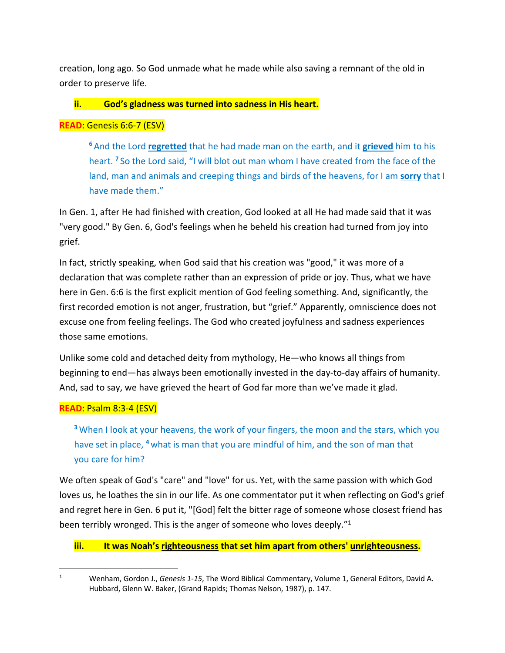creation, long ago. So God unmade what he made while also saving a remnant of the old in order to preserve life.

# **ii. God's gladness was turned into sadness in His heart.**

# **READ**: Genesis 6:6-7 (ESV)

**<sup>6</sup>**And the Lord **regretted** that he had made man on the earth, and it **grieved** him to his heart. **<sup>7</sup>** So the Lord said, "I will blot out man whom I have created from the face of the land, man and animals and creeping things and birds of the heavens, for I am **sorry** that I have made them."

In Gen. 1, after He had finished with creation, God looked at all He had made said that it was "very good." By Gen. 6, God's feelings when he beheld his creation had turned from joy into grief.

In fact, strictly speaking, when God said that his creation was "good," it was more of a declaration that was complete rather than an expression of pride or joy. Thus, what we have here in Gen. 6:6 is the first explicit mention of God feeling something. And, significantly, the first recorded emotion is not anger, frustration, but "grief." Apparently, omniscience does not excuse one from feeling feelings. The God who created joyfulness and sadness experiences those same emotions.

Unlike some cold and detached deity from mythology, He—who knows all things from beginning to end—has always been emotionally invested in the day-to-day affairs of humanity. And, sad to say, we have grieved the heart of God far more than we've made it glad.

# **READ**: Psalm 8:3-4 (ESV)

**<sup>3</sup>** When I look at your heavens, the work of your fingers, the moon and the stars, which you have set in place, **<sup>4</sup>** what is man that you are mindful of him, and the son of man that you care for him?

We often speak of God's "care" and "love" for us. Yet, with the same passion with which God loves us, he loathes the sin in our life. As one commentator put it when reflecting on God's grief and regret here in Gen. 6 put it, "[God] felt the bitter rage of someone whose closest friend has been terribly wronged. This is the anger of someone who loves deeply."<sup>1</sup>

# **iii. It was Noah's righteousness that set him apart from others' unrighteousness.**

<sup>1</sup> Wenham, Gordon J., *Genesis 1-15*, The Word Biblical Commentary, Volume 1, General Editors, David A. Hubbard, Glenn W. Baker, (Grand Rapids; Thomas Nelson, 1987), p. 147.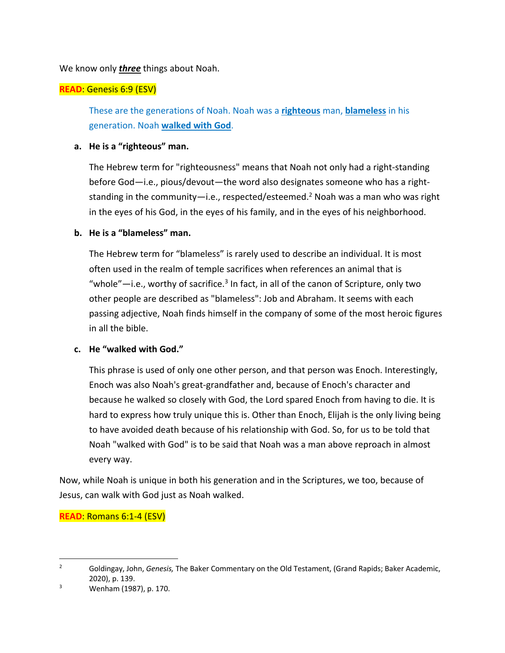We know only *three* things about Noah.

# **READ**: Genesis 6:9 (ESV)

These are the generations of Noah. Noah was a **righteous** man, **blameless** in his generation. Noah **walked with God**.

# **a. He is a "righteous" man.**

The Hebrew term for "righteousness" means that Noah not only had a right-standing before God—i.e., pious/devout—the word also designates someone who has a rightstanding in the community—i.e., respected/esteemed.<sup>2</sup> Noah was a man who was right in the eyes of his God, in the eyes of his family, and in the eyes of his neighborhood.

# **b. He is a "blameless" man.**

The Hebrew term for "blameless" is rarely used to describe an individual. It is most often used in the realm of temple sacrifices when references an animal that is "whole"—i.e., worthy of sacrifice. $3$  In fact, in all of the canon of Scripture, only two other people are described as "blameless": Job and Abraham. It seems with each passing adjective, Noah finds himself in the company of some of the most heroic figures in all the bible.

# **c. He "walked with God."**

This phrase is used of only one other person, and that person was Enoch. Interestingly, Enoch was also Noah's great-grandfather and, because of Enoch's character and because he walked so closely with God, the Lord spared Enoch from having to die. It is hard to express how truly unique this is. Other than Enoch, Elijah is the only living being to have avoided death because of his relationship with God. So, for us to be told that Noah "walked with God" is to be said that Noah was a man above reproach in almost every way.

Now, while Noah is unique in both his generation and in the Scriptures, we too, because of Jesus, can walk with God just as Noah walked.

**READ**: Romans 6:1-4 (ESV)

<sup>2</sup> Goldingay, John, *Genesis,* The Baker Commentary on the Old Testament, (Grand Rapids; Baker Academic, 2020), p. 139.

 $3$  Wenham (1987), p. 170.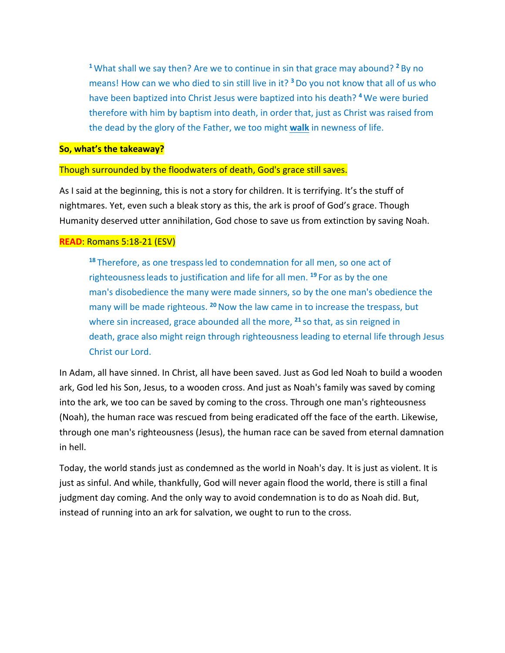**<sup>1</sup>**What shall we say then? Are we to continue in sin that grace may abound? **<sup>2</sup>** By no means! How can we who died to sin still live in it? **<sup>3</sup>** Do you not know that all of us who have been baptized into Christ Jesus were baptized into his death? **<sup>4</sup>** We were buried therefore with him by baptism into death, in order that, just as Christ was raised from the dead by the glory of the Father, we too might **walk** in newness of life.

## **So, what's the takeaway?**

## Though surrounded by the floodwaters of death, God's grace still saves.

As I said at the beginning, this is not a story for children. It is terrifying. It's the stuff of nightmares. Yet, even such a bleak story as this, the ark is proof of God's grace. Though Humanity deserved utter annihilation, God chose to save us from extinction by saving Noah.

## **READ**: Romans 5:18-21 (ESV)

**<sup>18</sup>** Therefore, as one trespassled to condemnation for all men, so one act of righteousnessleads to justification and life for all men. **<sup>19</sup>** For as by the one man's disobedience the many were made sinners, so by the one man's obedience the many will be made righteous. **<sup>20</sup>**Now the law came in to increase the trespass, but where sin increased, grace abounded all the more, **<sup>21</sup>** so that, as sin reigned in death, grace also might reign through righteousness leading to eternal life through Jesus Christ our Lord.

In Adam, all have sinned. In Christ, all have been saved. Just as God led Noah to build a wooden ark, God led his Son, Jesus, to a wooden cross. And just as Noah's family was saved by coming into the ark, we too can be saved by coming to the cross. Through one man's righteousness (Noah), the human race was rescued from being eradicated off the face of the earth. Likewise, through one man's righteousness (Jesus), the human race can be saved from eternal damnation in hell.

Today, the world stands just as condemned as the world in Noah's day. It is just as violent. It is just as sinful. And while, thankfully, God will never again flood the world, there is still a final judgment day coming. And the only way to avoid condemnation is to do as Noah did. But, instead of running into an ark for salvation, we ought to run to the cross.